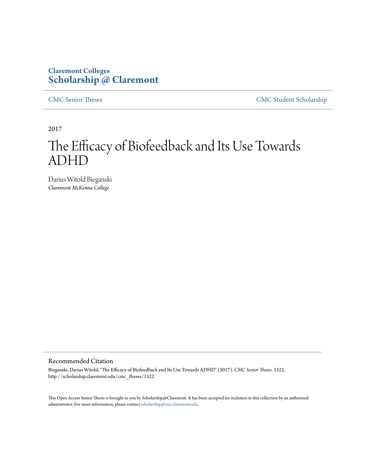# **Claremont Colleges [Scholarship @ Claremont](http://scholarship.claremont.edu)**

[CMC Senior Theses](http://scholarship.claremont.edu/cmc_theses) [CMC Student Scholarship](http://scholarship.claremont.edu/cmc_student)

2017

# The Efficacy of Biofeedback and Its Use Towards ADHD

Darius Witold Bieganski *Claremont McKenna College*

#### Recommended Citation

Bieganski, Darius Witold, "The Efficacy of Biofeedback and Its Use Towards ADHD" (2017). *CMC Senior Theses*. 1522. http://scholarship.claremont.edu/cmc\_theses/1522

This Open Access Senior Thesis is brought to you by Scholarship@Claremont. It has been accepted for inclusion in this collection by an authorized administrator. For more information, please contact [scholarship@cuc.claremont.edu.](mailto:scholarship@cuc.claremont.edu)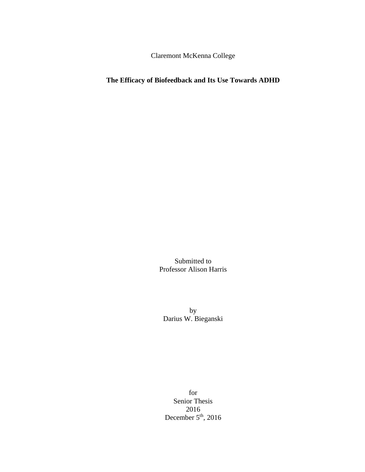Claremont McKenna College

# **The Efficacy of Biofeedback and Its Use Towards ADHD**

Submitted to Professor Alison Harris

by Darius W. Bieganski

for Senior Thesis 2016 December  $5<sup>th</sup>$ , 2016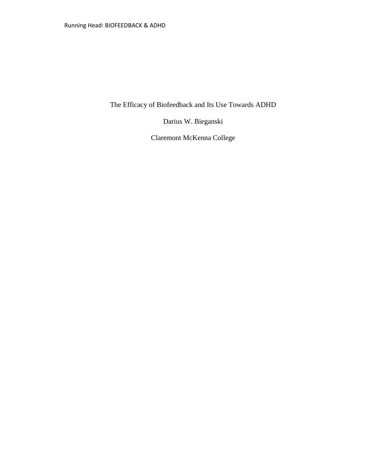The Efficacy of Biofeedback and Its Use Towards ADHD

Darius W. Bieganski

Claremont McKenna College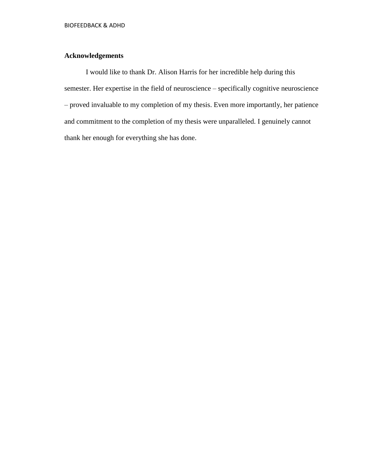## **Acknowledgements**

I would like to thank Dr. Alison Harris for her incredible help during this semester. Her expertise in the field of neuroscience – specifically cognitive neuroscience – proved invaluable to my completion of my thesis. Even more importantly, her patience and commitment to the completion of my thesis were unparalleled. I genuinely cannot thank her enough for everything she has done.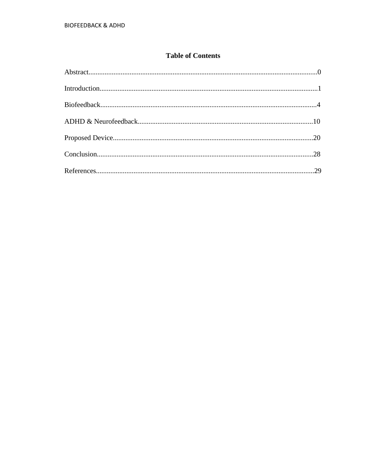## **Table of Contents**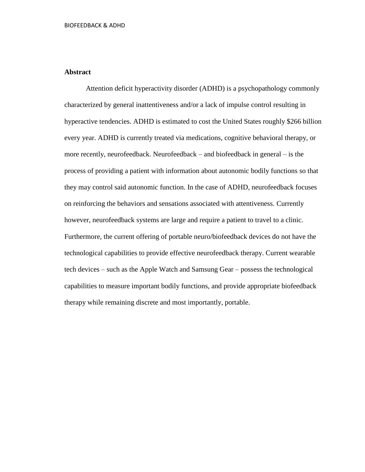### **Abstract**

Attention deficit hyperactivity disorder (ADHD) is a psychopathology commonly characterized by general inattentiveness and/or a lack of impulse control resulting in hyperactive tendencies. ADHD is estimated to cost the United States roughly \$266 billion every year. ADHD is currently treated via medications, cognitive behavioral therapy, or more recently, neurofeedback. Neurofeedback – and biofeedback in general – is the process of providing a patient with information about autonomic bodily functions so that they may control said autonomic function. In the case of ADHD, neurofeedback focuses on reinforcing the behaviors and sensations associated with attentiveness. Currently however, neurofeedback systems are large and require a patient to travel to a clinic. Furthermore, the current offering of portable neuro/biofeedback devices do not have the technological capabilities to provide effective neurofeedback therapy. Current wearable tech devices – such as the Apple Watch and Samsung Gear – possess the technological capabilities to measure important bodily functions, and provide appropriate biofeedback therapy while remaining discrete and most importantly, portable.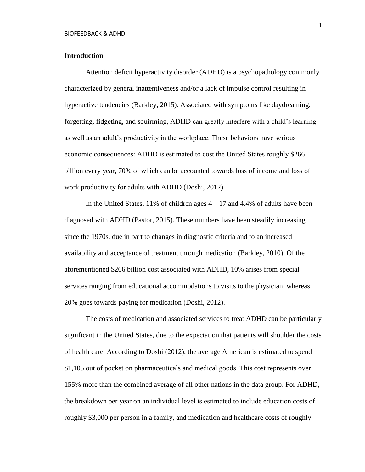#### **Introduction**

Attention deficit hyperactivity disorder (ADHD) is a psychopathology commonly characterized by general inattentiveness and/or a lack of impulse control resulting in hyperactive tendencies (Barkley, 2015). Associated with symptoms like daydreaming, forgetting, fidgeting, and squirming, ADHD can greatly interfere with a child's learning as well as an adult's productivity in the workplace. These behaviors have serious economic consequences: ADHD is estimated to cost the United States roughly \$266 billion every year, 70% of which can be accounted towards loss of income and loss of work productivity for adults with ADHD (Doshi, 2012).

In the United States,  $11\%$  of children ages  $4 - 17$  and  $4.4\%$  of adults have been diagnosed with ADHD (Pastor, 2015). These numbers have been steadily increasing since the 1970s, due in part to changes in diagnostic criteria and to an increased availability and acceptance of treatment through medication (Barkley, 2010). Of the aforementioned \$266 billion cost associated with ADHD, 10% arises from special services ranging from educational accommodations to visits to the physician, whereas 20% goes towards paying for medication (Doshi, 2012).

The costs of medication and associated services to treat ADHD can be particularly significant in the United States, due to the expectation that patients will shoulder the costs of health care. According to Doshi (2012), the average American is estimated to spend \$1,105 out of pocket on pharmaceuticals and medical goods. This cost represents over 155% more than the combined average of all other nations in the data group. For ADHD, the breakdown per year on an individual level is estimated to include education costs of roughly \$3,000 per person in a family, and medication and healthcare costs of roughly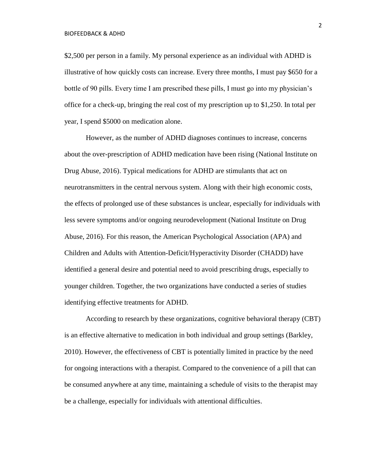\$2,500 per person in a family. My personal experience as an individual with ADHD is illustrative of how quickly costs can increase. Every three months, I must pay \$650 for a bottle of 90 pills. Every time I am prescribed these pills, I must go into my physician's office for a check-up, bringing the real cost of my prescription up to \$1,250. In total per year, I spend \$5000 on medication alone.

However, as the number of ADHD diagnoses continues to increase, concerns about the over-prescription of ADHD medication have been rising (National Institute on Drug Abuse, 2016). Typical medications for ADHD are stimulants that act on neurotransmitters in the central nervous system. Along with their high economic costs, the effects of prolonged use of these substances is unclear, especially for individuals with less severe symptoms and/or ongoing neurodevelopment (National Institute on Drug Abuse, 2016). For this reason, the American Psychological Association (APA) and Children and Adults with Attention-Deficit/Hyperactivity Disorder (CHADD) have identified a general desire and potential need to avoid prescribing drugs, especially to younger children. Together, the two organizations have conducted a series of studies identifying effective treatments for ADHD.

According to research by these organizations, cognitive behavioral therapy (CBT) is an effective alternative to medication in both individual and group settings (Barkley, 2010). However, the effectiveness of CBT is potentially limited in practice by the need for ongoing interactions with a therapist. Compared to the convenience of a pill that can be consumed anywhere at any time, maintaining a schedule of visits to the therapist may be a challenge, especially for individuals with attentional difficulties.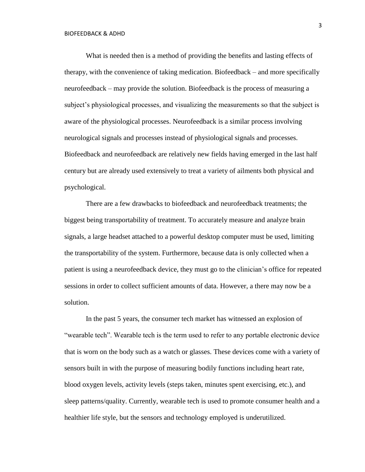What is needed then is a method of providing the benefits and lasting effects of therapy, with the convenience of taking medication. Biofeedback – and more specifically neurofeedback – may provide the solution. Biofeedback is the process of measuring a subject's physiological processes, and visualizing the measurements so that the subject is aware of the physiological processes. Neurofeedback is a similar process involving neurological signals and processes instead of physiological signals and processes. Biofeedback and neurofeedback are relatively new fields having emerged in the last half century but are already used extensively to treat a variety of ailments both physical and psychological.

There are a few drawbacks to biofeedback and neurofeedback treatments; the biggest being transportability of treatment. To accurately measure and analyze brain signals, a large headset attached to a powerful desktop computer must be used, limiting the transportability of the system. Furthermore, because data is only collected when a patient is using a neurofeedback device, they must go to the clinician's office for repeated sessions in order to collect sufficient amounts of data. However, a there may now be a solution.

In the past 5 years, the consumer tech market has witnessed an explosion of "wearable tech". Wearable tech is the term used to refer to any portable electronic device that is worn on the body such as a watch or glasses. These devices come with a variety of sensors built in with the purpose of measuring bodily functions including heart rate, blood oxygen levels, activity levels (steps taken, minutes spent exercising, etc.), and sleep patterns/quality. Currently, wearable tech is used to promote consumer health and a healthier life style, but the sensors and technology employed is underutilized.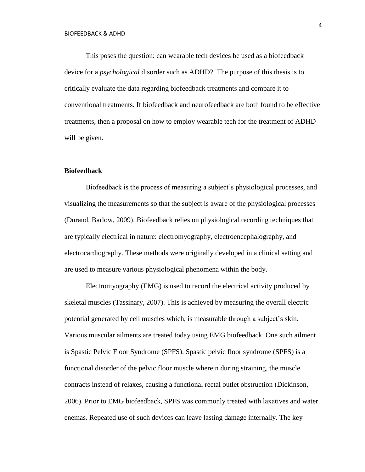This poses the question: can wearable tech devices be used as a biofeedback device for a *psychological* disorder such as ADHD? The purpose of this thesis is to critically evaluate the data regarding biofeedback treatments and compare it to conventional treatments. If biofeedback and neurofeedback are both found to be effective treatments, then a proposal on how to employ wearable tech for the treatment of ADHD will be given.

#### **Biofeedback**

Biofeedback is the process of measuring a subject's physiological processes, and visualizing the measurements so that the subject is aware of the physiological processes (Durand, Barlow, 2009). Biofeedback relies on physiological recording techniques that are typically electrical in nature: electromyography, electroencephalography, and electrocardiography. These methods were originally developed in a clinical setting and are used to measure various physiological phenomena within the body.

Electromyography (EMG) is used to record the electrical activity produced by skeletal muscles (Tassinary, 2007). This is achieved by measuring the overall electric potential generated by cell muscles which, is measurable through a subject's skin. Various muscular ailments are treated today using EMG biofeedback. One such ailment is Spastic Pelvic Floor Syndrome (SPFS). Spastic pelvic floor syndrome (SPFS) is a functional disorder of the pelvic floor muscle wherein during straining, the muscle contracts instead of relaxes, causing a functional rectal outlet obstruction (Dickinson, 2006). Prior to EMG biofeedback, SPFS was commonly treated with laxatives and water enemas. Repeated use of such devices can leave lasting damage internally. The key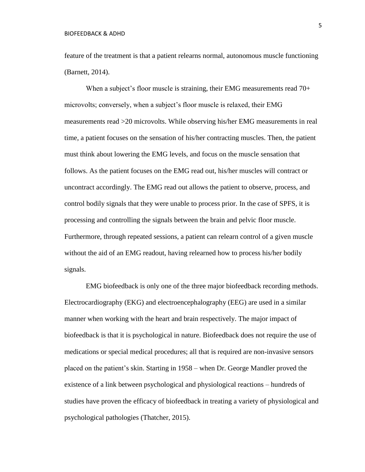feature of the treatment is that a patient relearns normal, autonomous muscle functioning (Barnett, 2014).

When a subject's floor muscle is straining, their EMG measurements read 70+ microvolts; conversely, when a subject's floor muscle is relaxed, their EMG measurements read >20 microvolts. While observing his/her EMG measurements in real time, a patient focuses on the sensation of his/her contracting muscles. Then, the patient must think about lowering the EMG levels, and focus on the muscle sensation that follows. As the patient focuses on the EMG read out, his/her muscles will contract or uncontract accordingly. The EMG read out allows the patient to observe, process, and control bodily signals that they were unable to process prior. In the case of SPFS, it is processing and controlling the signals between the brain and pelvic floor muscle. Furthermore, through repeated sessions, a patient can relearn control of a given muscle without the aid of an EMG readout, having relearned how to process his/her bodily signals.

EMG biofeedback is only one of the three major biofeedback recording methods. Electrocardiography (EKG) and electroencephalography (EEG) are used in a similar manner when working with the heart and brain respectively. The major impact of biofeedback is that it is psychological in nature. Biofeedback does not require the use of medications or special medical procedures; all that is required are non-invasive sensors placed on the patient's skin. Starting in 1958 – when Dr. George Mandler proved the existence of a link between psychological and physiological reactions – hundreds of studies have proven the efficacy of biofeedback in treating a variety of physiological and psychological pathologies (Thatcher, 2015).

5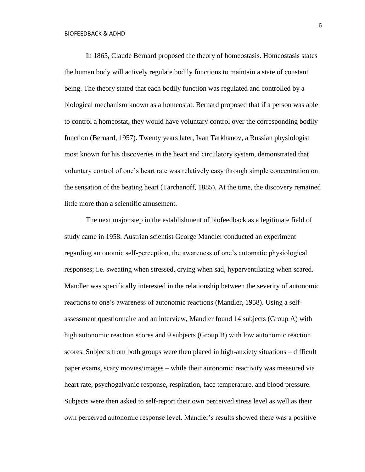In 1865, Claude Bernard proposed the theory of homeostasis. Homeostasis states the human body will actively regulate bodily functions to maintain a state of constant being. The theory stated that each bodily function was regulated and controlled by a biological mechanism known as a homeostat. Bernard proposed that if a person was able to control a homeostat, they would have voluntary control over the corresponding bodily function (Bernard, 1957). Twenty years later, Ivan Tarkhanov, a Russian physiologist most known for his discoveries in the heart and circulatory system, demonstrated that voluntary control of one's heart rate was relatively easy through simple concentration on the sensation of the beating heart (Tarchanoff, 1885). At the time, the discovery remained little more than a scientific amusement.

The next major step in the establishment of biofeedback as a legitimate field of study came in 1958. Austrian scientist George Mandler conducted an experiment regarding autonomic self-perception, the awareness of one's automatic physiological responses; i.e. sweating when stressed, crying when sad, hyperventilating when scared. Mandler was specifically interested in the relationship between the severity of autonomic reactions to one's awareness of autonomic reactions (Mandler, 1958). Using a selfassessment questionnaire and an interview, Mandler found 14 subjects (Group A) with high autonomic reaction scores and 9 subjects (Group B) with low autonomic reaction scores. Subjects from both groups were then placed in high-anxiety situations – difficult paper exams, scary movies/images – while their autonomic reactivity was measured via heart rate, psychogalvanic response, respiration, face temperature, and blood pressure. Subjects were then asked to self-report their own perceived stress level as well as their own perceived autonomic response level. Mandler's results showed there was a positive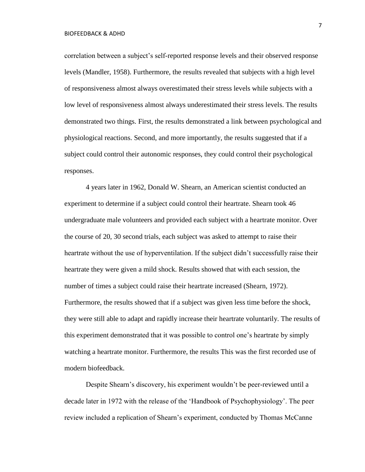correlation between a subject's self-reported response levels and their observed response levels (Mandler, 1958). Furthermore, the results revealed that subjects with a high level of responsiveness almost always overestimated their stress levels while subjects with a low level of responsiveness almost always underestimated their stress levels. The results demonstrated two things. First, the results demonstrated a link between psychological and physiological reactions. Second, and more importantly, the results suggested that if a subject could control their autonomic responses, they could control their psychological responses.

4 years later in 1962, Donald W. Shearn, an American scientist conducted an experiment to determine if a subject could control their heartrate. Shearn took 46 undergraduate male volunteers and provided each subject with a heartrate monitor. Over the course of 20, 30 second trials, each subject was asked to attempt to raise their heartrate without the use of hyperventilation. If the subject didn't successfully raise their heartrate they were given a mild shock. Results showed that with each session, the number of times a subject could raise their heartrate increased (Shearn, 1972). Furthermore, the results showed that if a subject was given less time before the shock, they were still able to adapt and rapidly increase their heartrate voluntarily. The results of this experiment demonstrated that it was possible to control one's heartrate by simply watching a heartrate monitor. Furthermore, the results This was the first recorded use of modern biofeedback.

Despite Shearn's discovery, his experiment wouldn't be peer-reviewed until a decade later in 1972 with the release of the 'Handbook of Psychophysiology'. The peer review included a replication of Shearn's experiment, conducted by Thomas McCanne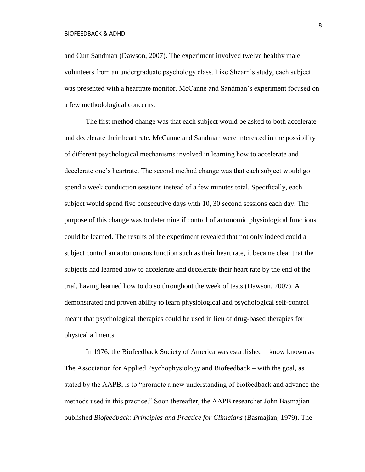and Curt Sandman (Dawson, 2007). The experiment involved twelve healthy male volunteers from an undergraduate psychology class. Like Shearn's study, each subject was presented with a heartrate monitor. McCanne and Sandman's experiment focused on a few methodological concerns.

The first method change was that each subject would be asked to both accelerate and decelerate their heart rate. McCanne and Sandman were interested in the possibility of different psychological mechanisms involved in learning how to accelerate and decelerate one's heartrate. The second method change was that each subject would go spend a week conduction sessions instead of a few minutes total. Specifically, each subject would spend five consecutive days with 10, 30 second sessions each day. The purpose of this change was to determine if control of autonomic physiological functions could be learned. The results of the experiment revealed that not only indeed could a subject control an autonomous function such as their heart rate, it became clear that the subjects had learned how to accelerate and decelerate their heart rate by the end of the trial, having learned how to do so throughout the week of tests (Dawson, 2007). A demonstrated and proven ability to learn physiological and psychological self-control meant that psychological therapies could be used in lieu of drug-based therapies for physical ailments.

In 1976, the Biofeedback Society of America was established – know known as The Association for Applied Psychophysiology and Biofeedback – with the goal, as stated by the AAPB, is to "promote a new understanding of biofeedback and advance the methods used in this practice." Soon thereafter, the AAPB researcher John Basmajian published *Biofeedback: Principles and Practice for Clinicians* (Basmajian, 1979). The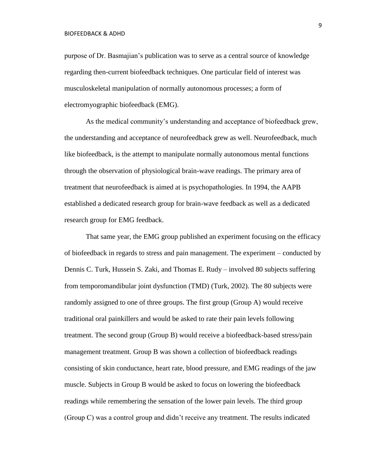purpose of Dr. Basmajian's publication was to serve as a central source of knowledge regarding then-current biofeedback techniques. One particular field of interest was musculoskeletal manipulation of normally autonomous processes; a form of electromyographic biofeedback (EMG).

As the medical community's understanding and acceptance of biofeedback grew, the understanding and acceptance of neurofeedback grew as well. Neurofeedback, much like biofeedback, is the attempt to manipulate normally autonomous mental functions through the observation of physiological brain-wave readings. The primary area of treatment that neurofeedback is aimed at is psychopathologies. In 1994, the AAPB established a dedicated research group for brain-wave feedback as well as a dedicated research group for EMG feedback.

That same year, the EMG group published an experiment focusing on the efficacy of biofeedback in regards to stress and pain management. The experiment – conducted by Dennis C. Turk, Hussein S. Zaki, and Thomas E. Rudy – involved 80 subjects suffering from temporomandibular joint dysfunction (TMD) (Turk, 2002). The 80 subjects were randomly assigned to one of three groups. The first group (Group A) would receive traditional oral painkillers and would be asked to rate their pain levels following treatment. The second group (Group B) would receive a biofeedback-based stress/pain management treatment. Group B was shown a collection of biofeedback readings consisting of skin conductance, heart rate, blood pressure, and EMG readings of the jaw muscle. Subjects in Group B would be asked to focus on lowering the biofeedback readings while remembering the sensation of the lower pain levels. The third group (Group C) was a control group and didn't receive any treatment. The results indicated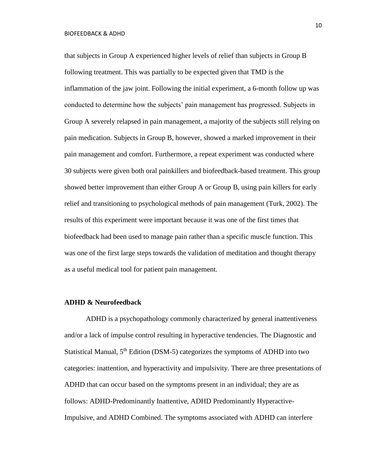that subjects in Group A experienced higher levels of relief than subjects in Group B following treatment. This was partially to be expected given that TMD is the inflammation of the jaw joint. Following the initial experiment, a 6-month follow up was conducted to determine how the subjects' pain management has progressed. Subjects in Group A severely relapsed in pain management, a majority of the subjects still relying on pain medication. Subjects in Group B, however, showed a marked improvement in their pain management and comfort. Furthermore, a repeat experiment was conducted where 30 subjects were given both oral painkillers and biofeedback-based treatment. This group showed better improvement than either Group A or Group B, using pain killers for early relief and transitioning to psychological methods of pain management (Turk, 2002). The results of this experiment were important because it was one of the first times that biofeedback had been used to manage pain rather than a specific muscle function. This was one of the first large steps towards the validation of meditation and thought therapy as a useful medical tool for patient pain management.

#### **ADHD & Neurofeedback**

ADHD is a psychopathology commonly characterized by general inattentiveness and/or a lack of impulse control resulting in hyperactive tendencies. The Diagnostic and Statistical Manual, 5<sup>th</sup> Edition (DSM-5) categorizes the symptoms of ADHD into two categories: inattention, and hyperactivity and impulsivity. There are three presentations of ADHD that can occur based on the symptoms present in an individual; they are as follows: ADHD-Predominantly Inattentive, ADHD Predominantly Hyperactive-Impulsive, and ADHD Combined. The symptoms associated with ADHD can interfere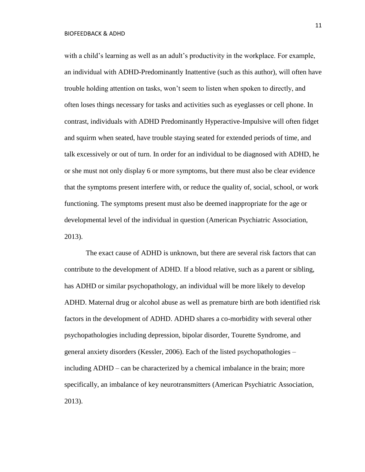with a child's learning as well as an adult's productivity in the workplace. For example, an individual with ADHD-Predominantly Inattentive (such as this author), will often have trouble holding attention on tasks, won't seem to listen when spoken to directly, and often loses things necessary for tasks and activities such as eyeglasses or cell phone. In contrast, individuals with ADHD Predominantly Hyperactive-Impulsive will often fidget and squirm when seated, have trouble staying seated for extended periods of time, and talk excessively or out of turn. In order for an individual to be diagnosed with ADHD, he or she must not only display 6 or more symptoms, but there must also be clear evidence that the symptoms present interfere with, or reduce the quality of, social, school, or work functioning. The symptoms present must also be deemed inappropriate for the age or developmental level of the individual in question (American Psychiatric Association, 2013).

The exact cause of ADHD is unknown, but there are several risk factors that can contribute to the development of ADHD. If a blood relative, such as a parent or sibling, has ADHD or similar psychopathology, an individual will be more likely to develop ADHD. Maternal drug or alcohol abuse as well as premature birth are both identified risk factors in the development of ADHD. ADHD shares a co-morbidity with several other psychopathologies including depression, bipolar disorder, Tourette Syndrome, and general anxiety disorders (Kessler, 2006). Each of the listed psychopathologies – including ADHD – can be characterized by a chemical imbalance in the brain; more specifically, an imbalance of key neurotransmitters (American Psychiatric Association, 2013).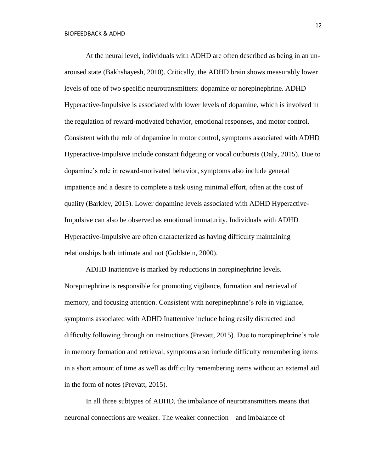At the neural level, individuals with ADHD are often described as being in an unaroused state (Bakhshayesh, 2010). Critically, the ADHD brain shows measurably lower levels of one of two specific neurotransmitters: dopamine or norepinephrine. ADHD Hyperactive-Impulsive is associated with lower levels of dopamine, which is involved in the regulation of reward-motivated behavior, emotional responses, and motor control. Consistent with the role of dopamine in motor control, symptoms associated with ADHD Hyperactive-Impulsive include constant fidgeting or vocal outbursts (Daly, 2015). Due to dopamine's role in reward-motivated behavior, symptoms also include general impatience and a desire to complete a task using minimal effort, often at the cost of quality (Barkley, 2015). Lower dopamine levels associated with ADHD Hyperactive-Impulsive can also be observed as emotional immaturity. Individuals with ADHD Hyperactive-Impulsive are often characterized as having difficulty maintaining relationships both intimate and not (Goldstein, 2000).

ADHD Inattentive is marked by reductions in norepinephrine levels. Norepinephrine is responsible for promoting vigilance, formation and retrieval of memory, and focusing attention. Consistent with norepinephrine's role in vigilance, symptoms associated with ADHD Inattentive include being easily distracted and difficulty following through on instructions (Prevatt, 2015). Due to norepinephrine's role in memory formation and retrieval, symptoms also include difficulty remembering items in a short amount of time as well as difficulty remembering items without an external aid in the form of notes (Prevatt, 2015).

In all three subtypes of ADHD, the imbalance of neurotransmitters means that neuronal connections are weaker. The weaker connection – and imbalance of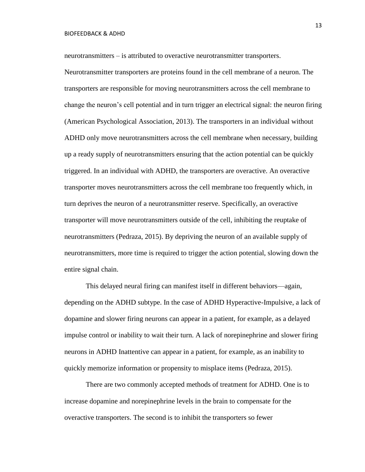neurotransmitters – is attributed to overactive neurotransmitter transporters.

Neurotransmitter transporters are proteins found in the cell membrane of a neuron. The transporters are responsible for moving neurotransmitters across the cell membrane to change the neuron's cell potential and in turn trigger an electrical signal: the neuron firing (American Psychological Association, 2013). The transporters in an individual without ADHD only move neurotransmitters across the cell membrane when necessary, building up a ready supply of neurotransmitters ensuring that the action potential can be quickly triggered. In an individual with ADHD, the transporters are overactive. An overactive transporter moves neurotransmitters across the cell membrane too frequently which, in turn deprives the neuron of a neurotransmitter reserve. Specifically, an overactive transporter will move neurotransmitters outside of the cell, inhibiting the reuptake of neurotransmitters (Pedraza, 2015). By depriving the neuron of an available supply of neurotransmitters, more time is required to trigger the action potential, slowing down the entire signal chain.

This delayed neural firing can manifest itself in different behaviors—again, depending on the ADHD subtype. In the case of ADHD Hyperactive-Impulsive, a lack of dopamine and slower firing neurons can appear in a patient, for example, as a delayed impulse control or inability to wait their turn. A lack of norepinephrine and slower firing neurons in ADHD Inattentive can appear in a patient, for example, as an inability to quickly memorize information or propensity to misplace items (Pedraza, 2015).

There are two commonly accepted methods of treatment for ADHD. One is to increase dopamine and norepinephrine levels in the brain to compensate for the overactive transporters. The second is to inhibit the transporters so fewer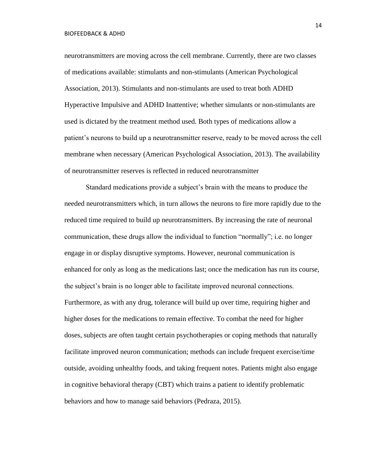neurotransmitters are moving across the cell membrane. Currently, there are two classes of medications available: stimulants and non-stimulants (American Psychological Association, 2013). Stimulants and non-stimulants are used to treat both ADHD Hyperactive Impulsive and ADHD Inattentive; whether simulants or non-stimulants are used is dictated by the treatment method used. Both types of medications allow a patient's neurons to build up a neurotransmitter reserve, ready to be moved across the cell membrane when necessary (American Psychological Association, 2013). The availability of neurotransmitter reserves is reflected in reduced neurotransmitter

Standard medications provide a subject's brain with the means to produce the needed neurotransmitters which, in turn allows the neurons to fire more rapidly due to the reduced time required to build up neurotransmitters. By increasing the rate of neuronal communication, these drugs allow the individual to function "normally"; i.e. no longer engage in or display disruptive symptoms. However, neuronal communication is enhanced for only as long as the medications last; once the medication has run its course, the subject's brain is no longer able to facilitate improved neuronal connections. Furthermore, as with any drug, tolerance will build up over time, requiring higher and higher doses for the medications to remain effective. To combat the need for higher doses, subjects are often taught certain psychotherapies or coping methods that naturally facilitate improved neuron communication; methods can include frequent exercise/time outside, avoiding unhealthy foods, and taking frequent notes. Patients might also engage in cognitive behavioral therapy (CBT) which trains a patient to identify problematic behaviors and how to manage said behaviors (Pedraza, 2015).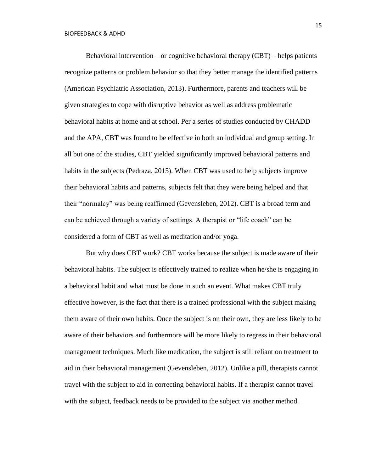Behavioral intervention – or cognitive behavioral therapy  $(CBT)$  – helps patients recognize patterns or problem behavior so that they better manage the identified patterns (American Psychiatric Association, 2013). Furthermore, parents and teachers will be given strategies to cope with disruptive behavior as well as address problematic behavioral habits at home and at school. Per a series of studies conducted by CHADD and the APA, CBT was found to be effective in both an individual and group setting. In all but one of the studies, CBT yielded significantly improved behavioral patterns and habits in the subjects (Pedraza, 2015). When CBT was used to help subjects improve their behavioral habits and patterns, subjects felt that they were being helped and that their "normalcy" was being reaffirmed (Gevensleben, 2012). CBT is a broad term and can be achieved through a variety of settings. A therapist or "life coach" can be considered a form of CBT as well as meditation and/or yoga.

But why does CBT work? CBT works because the subject is made aware of their behavioral habits. The subject is effectively trained to realize when he/she is engaging in a behavioral habit and what must be done in such an event. What makes CBT truly effective however, is the fact that there is a trained professional with the subject making them aware of their own habits. Once the subject is on their own, they are less likely to be aware of their behaviors and furthermore will be more likely to regress in their behavioral management techniques. Much like medication, the subject is still reliant on treatment to aid in their behavioral management (Gevensleben, 2012). Unlike a pill, therapists cannot travel with the subject to aid in correcting behavioral habits. If a therapist cannot travel with the subject, feedback needs to be provided to the subject via another method.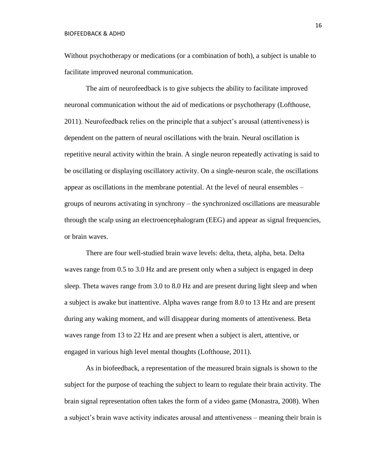Without psychotherapy or medications (or a combination of both), a subject is unable to facilitate improved neuronal communication.

The aim of neurofeedback is to give subjects the ability to facilitate improved neuronal communication without the aid of medications or psychotherapy (Lofthouse, 2011). Neurofeedback relies on the principle that a subject's arousal (attentiveness) is dependent on the pattern of neural oscillations with the brain. Neural oscillation is repetitive neural activity within the brain. A single neuron repeatedly activating is said to be oscillating or displaying oscillatory activity. On a single-neuron scale, the oscillations appear as oscillations in the membrane potential. At the level of neural ensembles – groups of neurons activating in synchrony – the synchronized oscillations are measurable through the scalp using an electroencephalogram (EEG) and appear as signal frequencies, or brain waves.

There are four well-studied brain wave levels: delta, theta, alpha, beta. Delta waves range from 0.5 to 3.0 Hz and are present only when a subject is engaged in deep sleep. Theta waves range from 3.0 to 8.0 Hz and are present during light sleep and when a subject is awake but inattentive. Alpha waves range from 8.0 to 13 Hz and are present during any waking moment, and will disappear during moments of attentiveness. Beta waves range from 13 to 22 Hz and are present when a subject is alert, attentive, or engaged in various high level mental thoughts (Lofthouse, 2011).

As in biofeedback, a representation of the measured brain signals is shown to the subject for the purpose of teaching the subject to learn to regulate their brain activity. The brain signal representation often takes the form of a video game (Monastra, 2008). When a subject's brain wave activity indicates arousal and attentiveness – meaning their brain is

16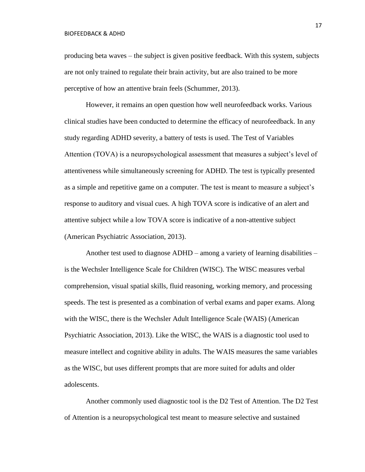producing beta waves – the subject is given positive feedback. With this system, subjects are not only trained to regulate their brain activity, but are also trained to be more perceptive of how an attentive brain feels (Schummer, 2013).

However, it remains an open question how well neurofeedback works. Various clinical studies have been conducted to determine the efficacy of neurofeedback. In any study regarding ADHD severity, a battery of tests is used. The Test of Variables Attention (TOVA) is a neuropsychological assessment that measures a subject's level of attentiveness while simultaneously screening for ADHD. The test is typically presented as a simple and repetitive game on a computer. The test is meant to measure a subject's response to auditory and visual cues. A high TOVA score is indicative of an alert and attentive subject while a low TOVA score is indicative of a non-attentive subject (American Psychiatric Association, 2013).

Another test used to diagnose ADHD – among a variety of learning disabilities – is the Wechsler Intelligence Scale for Children (WISC). The WISC measures verbal comprehension, visual spatial skills, fluid reasoning, working memory, and processing speeds. The test is presented as a combination of verbal exams and paper exams. Along with the WISC, there is the Wechsler Adult Intelligence Scale (WAIS) (American Psychiatric Association, 2013). Like the WISC, the WAIS is a diagnostic tool used to measure intellect and cognitive ability in adults. The WAIS measures the same variables as the WISC, but uses different prompts that are more suited for adults and older adolescents.

Another commonly used diagnostic tool is the D2 Test of Attention. The D2 Test of Attention is a neuropsychological test meant to measure selective and sustained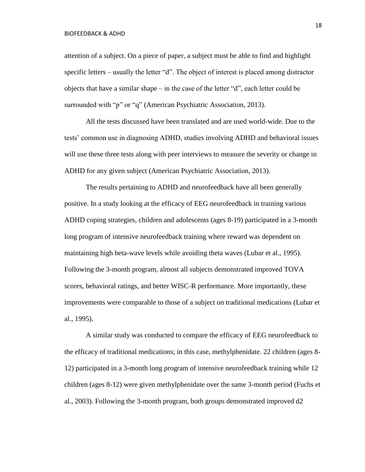attention of a subject. On a piece of paper, a subject must be able to find and highlight specific letters – usually the letter "d". The object of interest is placed among distractor objects that have a similar shape – in the case of the letter "d", each letter could be surrounded with "p" or "q" (American Psychiatric Association, 2013).

All the tests discussed have been translated and are used world-wide. Due to the tests' common use in diagnosing ADHD, studies involving ADHD and behavioral issues will use these three tests along with peer interviews to measure the severity or change in ADHD for any given subject (American Psychiatric Association, 2013).

The results pertaining to ADHD and neurofeedback have all been generally positive. In a study looking at the efficacy of EEG neurofeedback in training various ADHD coping strategies, children and adolescents (ages 8-19) participated in a 3-month long program of intensive neurofeedback training where reward was dependent on maintaining high beta-wave levels while avoiding theta waves (Lubar et al., 1995). Following the 3-month program, almost all subjects demonstrated improved TOVA scores, behavioral ratings, and better WISC-R performance. More importantly, these improvements were comparable to those of a subject on traditional medications (Lubar et al., 1995).

A similar study was conducted to compare the efficacy of EEG neurofeedback to the efficacy of traditional medications; in this case, methylphenidate. 22 children (ages 8- 12) participated in a 3-month long program of intensive neurofeedback training while 12 children (ages 8-12) were given methylphenidate over the same 3-month period (Fuchs et al., 2003). Following the 3-month program, both groups demonstrated improved d2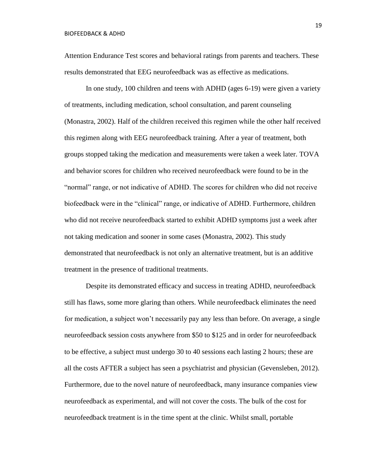Attention Endurance Test scores and behavioral ratings from parents and teachers. These results demonstrated that EEG neurofeedback was as effective as medications.

In one study, 100 children and teens with ADHD (ages 6-19) were given a variety of treatments, including medication, school consultation, and parent counseling (Monastra, 2002). Half of the children received this regimen while the other half received this regimen along with EEG neurofeedback training. After a year of treatment, both groups stopped taking the medication and measurements were taken a week later. TOVA and behavior scores for children who received neurofeedback were found to be in the "normal" range, or not indicative of ADHD. The scores for children who did not receive biofeedback were in the "clinical" range, or indicative of ADHD. Furthermore, children who did not receive neurofeedback started to exhibit ADHD symptoms just a week after not taking medication and sooner in some cases (Monastra, 2002). This study demonstrated that neurofeedback is not only an alternative treatment, but is an additive treatment in the presence of traditional treatments.

Despite its demonstrated efficacy and success in treating ADHD, neurofeedback still has flaws, some more glaring than others. While neurofeedback eliminates the need for medication, a subject won't necessarily pay any less than before. On average, a single neurofeedback session costs anywhere from \$50 to \$125 and in order for neurofeedback to be effective, a subject must undergo 30 to 40 sessions each lasting 2 hours; these are all the costs AFTER a subject has seen a psychiatrist and physician (Gevensleben, 2012). Furthermore, due to the novel nature of neurofeedback, many insurance companies view neurofeedback as experimental, and will not cover the costs. The bulk of the cost for neurofeedback treatment is in the time spent at the clinic. Whilst small, portable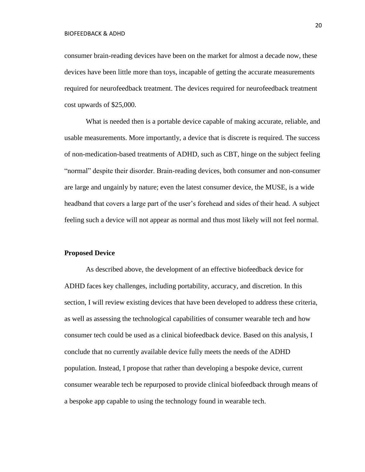consumer brain-reading devices have been on the market for almost a decade now, these devices have been little more than toys, incapable of getting the accurate measurements required for neurofeedback treatment. The devices required for neurofeedback treatment cost upwards of \$25,000.

What is needed then is a portable device capable of making accurate, reliable, and usable measurements. More importantly, a device that is discrete is required. The success of non-medication-based treatments of ADHD, such as CBT, hinge on the subject feeling "normal" despite their disorder. Brain-reading devices, both consumer and non-consumer are large and ungainly by nature; even the latest consumer device, the MUSE, is a wide headband that covers a large part of the user's forehead and sides of their head. A subject feeling such a device will not appear as normal and thus most likely will not feel normal.

#### **Proposed Device**

As described above, the development of an effective biofeedback device for ADHD faces key challenges, including portability, accuracy, and discretion. In this section, I will review existing devices that have been developed to address these criteria, as well as assessing the technological capabilities of consumer wearable tech and how consumer tech could be used as a clinical biofeedback device. Based on this analysis, I conclude that no currently available device fully meets the needs of the ADHD population. Instead, I propose that rather than developing a bespoke device, current consumer wearable tech be repurposed to provide clinical biofeedback through means of a bespoke app capable to using the technology found in wearable tech.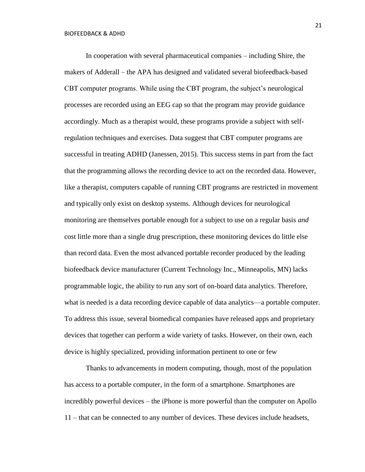In cooperation with several pharmaceutical companies – including Shire, the makers of Adderall – the APA has designed and validated several biofeedback-based CBT computer programs. While using the CBT program, the subject's neurological processes are recorded using an EEG cap so that the program may provide guidance accordingly. Much as a therapist would, these programs provide a subject with selfregulation techniques and exercises. Data suggest that CBT computer programs are successful in treating ADHD (Janessen, 2015). This success stems in part from the fact that the programming allows the recording device to act on the recorded data. However, like a therapist, computers capable of running CBT programs are restricted in movement and typically only exist on desktop systems. Although devices for neurological monitoring are themselves portable enough for a subject to use on a regular basis *and*  cost little more than a single drug prescription, these monitoring devices do little else than record data. Even the most advanced portable recorder produced by the leading biofeedback device manufacturer (Current Technology Inc., Minneapolis, MN) lacks programmable logic, the ability to run any sort of on-board data analytics. Therefore, what is needed is a data recording device capable of data analytics—a portable computer. To address this issue, several biomedical companies have released apps and proprietary devices that together can perform a wide variety of tasks. However, on their own, each device is highly specialized, providing information pertinent to one or few

Thanks to advancements in modern computing, though, most of the population has access to a portable computer, in the form of a smartphone. Smartphones are incredibly powerful devices – the iPhone is more powerful than the computer on Apollo 11 – that can be connected to any number of devices. These devices include headsets,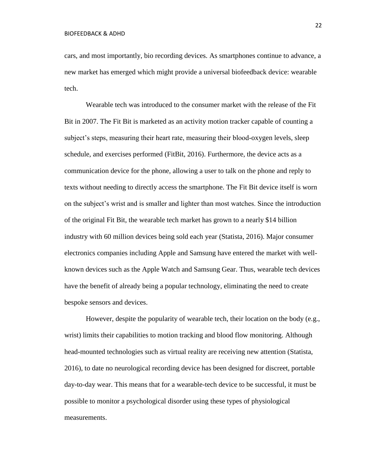cars, and most importantly, bio recording devices. As smartphones continue to advance, a new market has emerged which might provide a universal biofeedback device: wearable tech.

Wearable tech was introduced to the consumer market with the release of the Fit Bit in 2007. The Fit Bit is marketed as an activity motion tracker capable of counting a subject's steps, measuring their heart rate, measuring their blood-oxygen levels, sleep schedule, and exercises performed (FitBit, 2016). Furthermore, the device acts as a communication device for the phone, allowing a user to talk on the phone and reply to texts without needing to directly access the smartphone. The Fit Bit device itself is worn on the subject's wrist and is smaller and lighter than most watches. Since the introduction of the original Fit Bit, the wearable tech market has grown to a nearly \$14 billion industry with 60 million devices being sold each year (Statista, 2016). Major consumer electronics companies including Apple and Samsung have entered the market with wellknown devices such as the Apple Watch and Samsung Gear. Thus, wearable tech devices have the benefit of already being a popular technology, eliminating the need to create bespoke sensors and devices.

However, despite the popularity of wearable tech, their location on the body (e.g., wrist) limits their capabilities to motion tracking and blood flow monitoring. Although head-mounted technologies such as virtual reality are receiving new attention (Statista, 2016), to date no neurological recording device has been designed for discreet, portable day-to-day wear. This means that for a wearable-tech device to be successful, it must be possible to monitor a psychological disorder using these types of physiological measurements.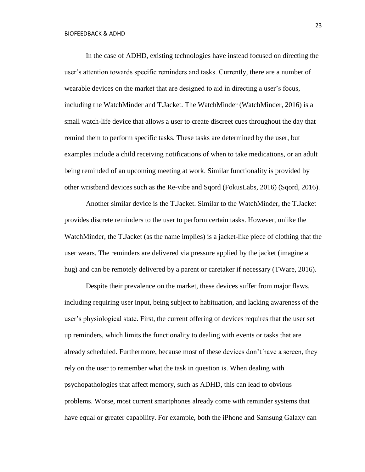In the case of ADHD, existing technologies have instead focused on directing the user's attention towards specific reminders and tasks. Currently, there are a number of wearable devices on the market that are designed to aid in directing a user's focus, including the WatchMinder and T.Jacket. The WatchMinder (WatchMinder, 2016) is a small watch-life device that allows a user to create discreet cues throughout the day that remind them to perform specific tasks. These tasks are determined by the user, but examples include a child receiving notifications of when to take medications, or an adult being reminded of an upcoming meeting at work. Similar functionality is provided by other wristband devices such as the Re-vibe and Sqord (FokusLabs, 2016) (Sqord, 2016).

Another similar device is the T.Jacket. Similar to the WatchMinder, the T.Jacket provides discrete reminders to the user to perform certain tasks. However, unlike the WatchMinder, the T.Jacket (as the name implies) is a jacket-like piece of clothing that the user wears. The reminders are delivered via pressure applied by the jacket (imagine a hug) and can be remotely delivered by a parent or caretaker if necessary (TWare, 2016).

Despite their prevalence on the market, these devices suffer from major flaws, including requiring user input, being subject to habituation, and lacking awareness of the user's physiological state. First, the current offering of devices requires that the user set up reminders, which limits the functionality to dealing with events or tasks that are already scheduled. Furthermore, because most of these devices don't have a screen, they rely on the user to remember what the task in question is. When dealing with psychopathologies that affect memory, such as ADHD, this can lead to obvious problems. Worse, most current smartphones already come with reminder systems that have equal or greater capability. For example, both the iPhone and Samsung Galaxy can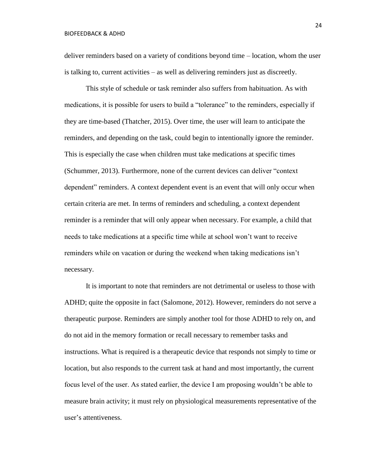deliver reminders based on a variety of conditions beyond time – location, whom the user is talking to, current activities – as well as delivering reminders just as discreetly.

This style of schedule or task reminder also suffers from habituation. As with medications, it is possible for users to build a "tolerance" to the reminders, especially if they are time-based (Thatcher, 2015). Over time, the user will learn to anticipate the reminders, and depending on the task, could begin to intentionally ignore the reminder. This is especially the case when children must take medications at specific times (Schummer, 2013). Furthermore, none of the current devices can deliver "context dependent" reminders. A context dependent event is an event that will only occur when certain criteria are met. In terms of reminders and scheduling, a context dependent reminder is a reminder that will only appear when necessary. For example, a child that needs to take medications at a specific time while at school won't want to receive reminders while on vacation or during the weekend when taking medications isn't necessary.

It is important to note that reminders are not detrimental or useless to those with ADHD; quite the opposite in fact (Salomone, 2012). However, reminders do not serve a therapeutic purpose. Reminders are simply another tool for those ADHD to rely on, and do not aid in the memory formation or recall necessary to remember tasks and instructions. What is required is a therapeutic device that responds not simply to time or location, but also responds to the current task at hand and most importantly, the current focus level of the user. As stated earlier, the device I am proposing wouldn't be able to measure brain activity; it must rely on physiological measurements representative of the user's attentiveness.

24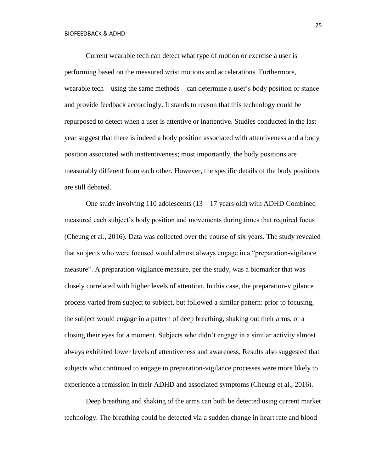Current wearable tech can detect what type of motion or exercise a user is performing based on the measured wrist motions and accelerations. Furthermore, wearable tech – using the same methods – can determine a user's body position or stance and provide feedback accordingly. It stands to reason that this technology could be repurposed to detect when a user is attentive or inattentive. Studies conducted in the last year suggest that there is indeed a body position associated with attentiveness and a body position associated with inattentiveness; most importantly, the body positions are measurably different from each other. However, the specific details of the body positions are still debated.

One study involving 110 adolescents  $(13 - 17)$  years old) with ADHD Combined measured each subject's body position and movements during times that required focus (Cheung et al., 2016). Data was collected over the course of six years. The study revealed that subjects who were focused would almost always engage in a "preparation-vigilance measure". A preparation-vigilance measure, per the study, was a biomarker that was closely correlated with higher levels of attention. In this case, the preparation-vigilance process varied from subject to subject, but followed a similar pattern: prior to focusing, the subject would engage in a pattern of deep breathing, shaking out their arms, or a closing their eyes for a moment. Subjects who didn't engage in a similar activity almost always exhibited lower levels of attentiveness and awareness. Results also suggested that subjects who continued to engage in preparation-vigilance processes were more likely to experience a remission in their ADHD and associated symptoms (Cheung et al., 2016).

Deep breathing and shaking of the arms can both be detected using current market technology. The breathing could be detected via a sudden change in heart rate and blood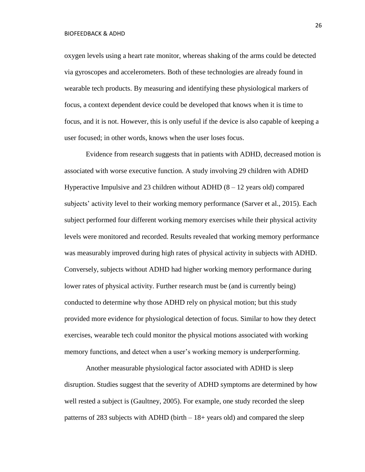oxygen levels using a heart rate monitor, whereas shaking of the arms could be detected via gyroscopes and accelerometers. Both of these technologies are already found in wearable tech products. By measuring and identifying these physiological markers of focus, a context dependent device could be developed that knows when it is time to focus, and it is not. However, this is only useful if the device is also capable of keeping a user focused; in other words, knows when the user loses focus.

Evidence from research suggests that in patients with ADHD, decreased motion is associated with worse executive function. A study involving 29 children with ADHD Hyperactive Impulsive and 23 children without ADHD  $(8 - 12$  years old) compared subjects' activity level to their working memory performance (Sarver et al., 2015). Each subject performed four different working memory exercises while their physical activity levels were monitored and recorded. Results revealed that working memory performance was measurably improved during high rates of physical activity in subjects with ADHD. Conversely, subjects without ADHD had higher working memory performance during lower rates of physical activity. Further research must be (and is currently being) conducted to determine why those ADHD rely on physical motion; but this study provided more evidence for physiological detection of focus. Similar to how they detect exercises, wearable tech could monitor the physical motions associated with working memory functions, and detect when a user's working memory is underperforming.

Another measurable physiological factor associated with ADHD is sleep disruption. Studies suggest that the severity of ADHD symptoms are determined by how well rested a subject is (Gaultney, 2005). For example, one study recorded the sleep patterns of 283 subjects with ADHD (birth  $-18+$  years old) and compared the sleep

26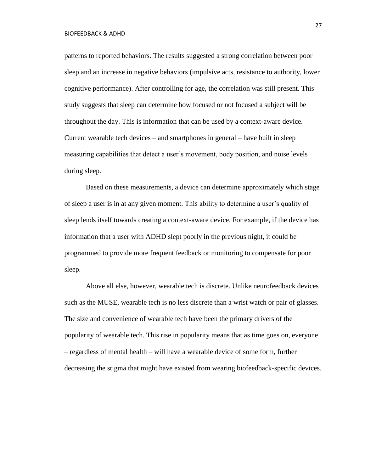patterns to reported behaviors. The results suggested a strong correlation between poor sleep and an increase in negative behaviors (impulsive acts, resistance to authority, lower cognitive performance). After controlling for age, the correlation was still present. This study suggests that sleep can determine how focused or not focused a subject will be throughout the day. This is information that can be used by a context-aware device. Current wearable tech devices – and smartphones in general – have built in sleep measuring capabilities that detect a user's movement, body position, and noise levels during sleep.

Based on these measurements, a device can determine approximately which stage of sleep a user is in at any given moment. This ability to determine a user's quality of sleep lends itself towards creating a context-aware device. For example, if the device has information that a user with ADHD slept poorly in the previous night, it could be programmed to provide more frequent feedback or monitoring to compensate for poor sleep.

Above all else, however, wearable tech is discrete. Unlike neurofeedback devices such as the MUSE, wearable tech is no less discrete than a wrist watch or pair of glasses. The size and convenience of wearable tech have been the primary drivers of the popularity of wearable tech. This rise in popularity means that as time goes on, everyone – regardless of mental health – will have a wearable device of some form, further decreasing the stigma that might have existed from wearing biofeedback-specific devices.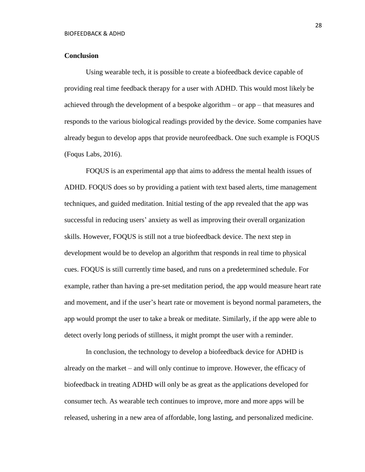#### **Conclusion**

Using wearable tech, it is possible to create a biofeedback device capable of providing real time feedback therapy for a user with ADHD. This would most likely be achieved through the development of a bespoke algorithm – or app – that measures and responds to the various biological readings provided by the device. Some companies have already begun to develop apps that provide neurofeedback. One such example is FOQUS (Foqus Labs, 2016).

FOQUS is an experimental app that aims to address the mental health issues of ADHD. FOQUS does so by providing a patient with text based alerts, time management techniques, and guided meditation. Initial testing of the app revealed that the app was successful in reducing users' anxiety as well as improving their overall organization skills. However, FOQUS is still not a true biofeedback device. The next step in development would be to develop an algorithm that responds in real time to physical cues. FOQUS is still currently time based, and runs on a predetermined schedule. For example, rather than having a pre-set meditation period, the app would measure heart rate and movement, and if the user's heart rate or movement is beyond normal parameters, the app would prompt the user to take a break or meditate. Similarly, if the app were able to detect overly long periods of stillness, it might prompt the user with a reminder.

In conclusion, the technology to develop a biofeedback device for ADHD is already on the market – and will only continue to improve. However, the efficacy of biofeedback in treating ADHD will only be as great as the applications developed for consumer tech. As wearable tech continues to improve, more and more apps will be released, ushering in a new area of affordable, long lasting, and personalized medicine.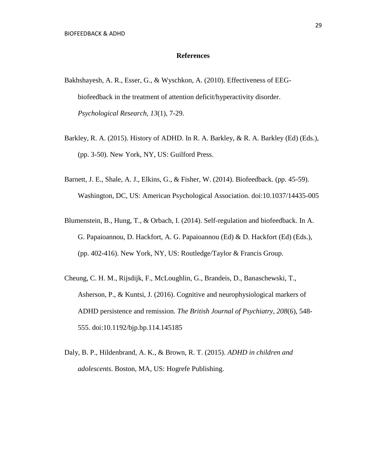#### **References**

- Bakhshayesh, A. R., Esser, G., & Wyschkon, A. (2010). Effectiveness of EEGbiofeedback in the treatment of attention deficit/hyperactivity disorder. *Psychological Research, 13*(1), 7-29.
- Barkley, R. A. (2015). History of ADHD. In R. A. Barkley, & R. A. Barkley (Ed) (Eds.), (pp. 3-50). New York, NY, US: Guilford Press.
- Barnett, J. E., Shale, A. J., Elkins, G., & Fisher, W. (2014). Biofeedback. (pp. 45-59). Washington, DC, US: American Psychological Association. doi:10.1037/14435-005
- Blumenstein, B., Hung, T., & Orbach, I. (2014). Self-regulation and biofeedback. In A. G. Papaioannou, D. Hackfort, A. G. Papaioannou (Ed) & D. Hackfort (Ed) (Eds.), (pp. 402-416). New York, NY, US: Routledge/Taylor & Francis Group.
- Cheung, C. H. M., Rijsdijk, F., McLoughlin, G., Brandeis, D., Banaschewski, T., Asherson, P., & Kuntsi, J. (2016). Cognitive and neurophysiological markers of ADHD persistence and remission. *The British Journal of Psychiatry, 208*(6), 548- 555. doi:10.1192/bjp.bp.114.145185
- Daly, B. P., Hildenbrand, A. K., & Brown, R. T. (2015). *ADHD in children and adolescents*. Boston, MA, US: Hogrefe Publishing.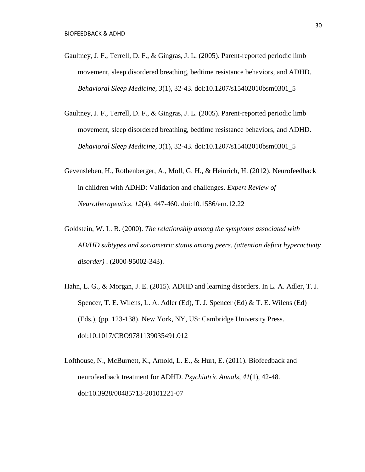- Gaultney, J. F., Terrell, D. F., & Gingras, J. L. (2005). Parent-reported periodic limb movement, sleep disordered breathing, bedtime resistance behaviors, and ADHD. *Behavioral Sleep Medicine, 3*(1), 32-43. doi:10.1207/s15402010bsm0301\_5
- Gaultney, J. F., Terrell, D. F., & Gingras, J. L. (2005). Parent-reported periodic limb movement, sleep disordered breathing, bedtime resistance behaviors, and ADHD. *Behavioral Sleep Medicine, 3*(1), 32-43. doi:10.1207/s15402010bsm0301\_5
- Gevensleben, H., Rothenberger, A., Moll, G. H., & Heinrich, H. (2012). Neurofeedback in children with ADHD: Validation and challenges. *Expert Review of Neurotherapeutics, 12*(4), 447-460. doi:10.1586/ern.12.22
- Goldstein, W. L. B. (2000). *The relationship among the symptoms associated with AD/HD subtypes and sociometric status among peers. (attention deficit hyperactivity disorder)* . (2000-95002-343).
- Hahn, L. G., & Morgan, J. E. (2015). ADHD and learning disorders. In L. A. Adler, T. J. Spencer, T. E. Wilens, L. A. Adler (Ed), T. J. Spencer (Ed) & T. E. Wilens (Ed) (Eds.), (pp. 123-138). New York, NY, US: Cambridge University Press. doi:10.1017/CBO9781139035491.012
- Lofthouse, N., McBurnett, K., Arnold, L. E., & Hurt, E. (2011). Biofeedback and neurofeedback treatment for ADHD. *Psychiatric Annals, 41*(1), 42-48. doi:10.3928/00485713-20101221-07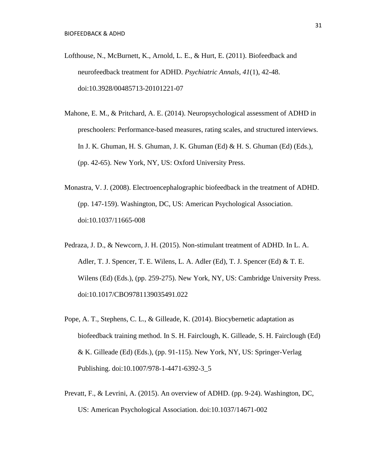- Lofthouse, N., McBurnett, K., Arnold, L. E., & Hurt, E. (2011). Biofeedback and neurofeedback treatment for ADHD. *Psychiatric Annals, 41*(1), 42-48. doi:10.3928/00485713-20101221-07
- Mahone, E. M., & Pritchard, A. E. (2014). Neuropsychological assessment of ADHD in preschoolers: Performance-based measures, rating scales, and structured interviews. In J. K. Ghuman, H. S. Ghuman, J. K. Ghuman (Ed) & H. S. Ghuman (Ed) (Eds.), (pp. 42-65). New York, NY, US: Oxford University Press.
- Monastra, V. J. (2008). Electroencephalographic biofeedback in the treatment of ADHD. (pp. 147-159). Washington, DC, US: American Psychological Association. doi:10.1037/11665-008
- Pedraza, J. D., & Newcorn, J. H. (2015). Non-stimulant treatment of ADHD. In L. A. Adler, T. J. Spencer, T. E. Wilens, L. A. Adler (Ed), T. J. Spencer (Ed)  $\&$  T. E. Wilens (Ed) (Eds.), (pp. 259-275). New York, NY, US: Cambridge University Press. doi:10.1017/CBO9781139035491.022
- Pope, A. T., Stephens, C. L., & Gilleade, K. (2014). Biocybernetic adaptation as biofeedback training method. In S. H. Fairclough, K. Gilleade, S. H. Fairclough (Ed) & K. Gilleade (Ed) (Eds.), (pp. 91-115). New York, NY, US: Springer-Verlag Publishing. doi:10.1007/978-1-4471-6392-3\_5
- Prevatt, F., & Levrini, A. (2015). An overview of ADHD. (pp. 9-24). Washington, DC, US: American Psychological Association. doi:10.1037/14671-002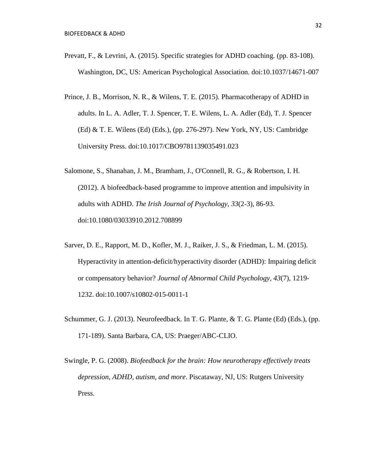- Prevatt, F., & Levrini, A. (2015). Specific strategies for ADHD coaching. (pp. 83-108). Washington, DC, US: American Psychological Association. doi:10.1037/14671-007
- Prince, J. B., Morrison, N. R., & Wilens, T. E. (2015). Pharmacotherapy of ADHD in adults. In L. A. Adler, T. J. Spencer, T. E. Wilens, L. A. Adler (Ed), T. J. Spencer (Ed) & T. E. Wilens (Ed) (Eds.), (pp. 276-297). New York, NY, US: Cambridge University Press. doi:10.1017/CBO9781139035491.023
- Salomone, S., Shanahan, J. M., Bramham, J., O'Connell, R. G., & Robertson, I. H. (2012). A biofeedback-based programme to improve attention and impulsivity in adults with ADHD. *The Irish Journal of Psychology, 33*(2-3), 86-93. doi:10.1080/03033910.2012.708899
- Sarver, D. E., Rapport, M. D., Kofler, M. J., Raiker, J. S., & Friedman, L. M. (2015). Hyperactivity in attention-deficit/hyperactivity disorder (ADHD): Impairing deficit or compensatory behavior? *Journal of Abnormal Child Psychology, 43*(7), 1219- 1232. doi:10.1007/s10802-015-0011-1
- Schummer, G. J. (2013). Neurofeedback. In T. G. Plante, & T. G. Plante (Ed) (Eds.), (pp. 171-189). Santa Barbara, CA, US: Praeger/ABC-CLIO.
- Swingle, P. G. (2008). *Biofeedback for the brain: How neurotherapy effectively treats depression, ADHD, autism, and more*. Piscataway, NJ, US: Rutgers University Press.